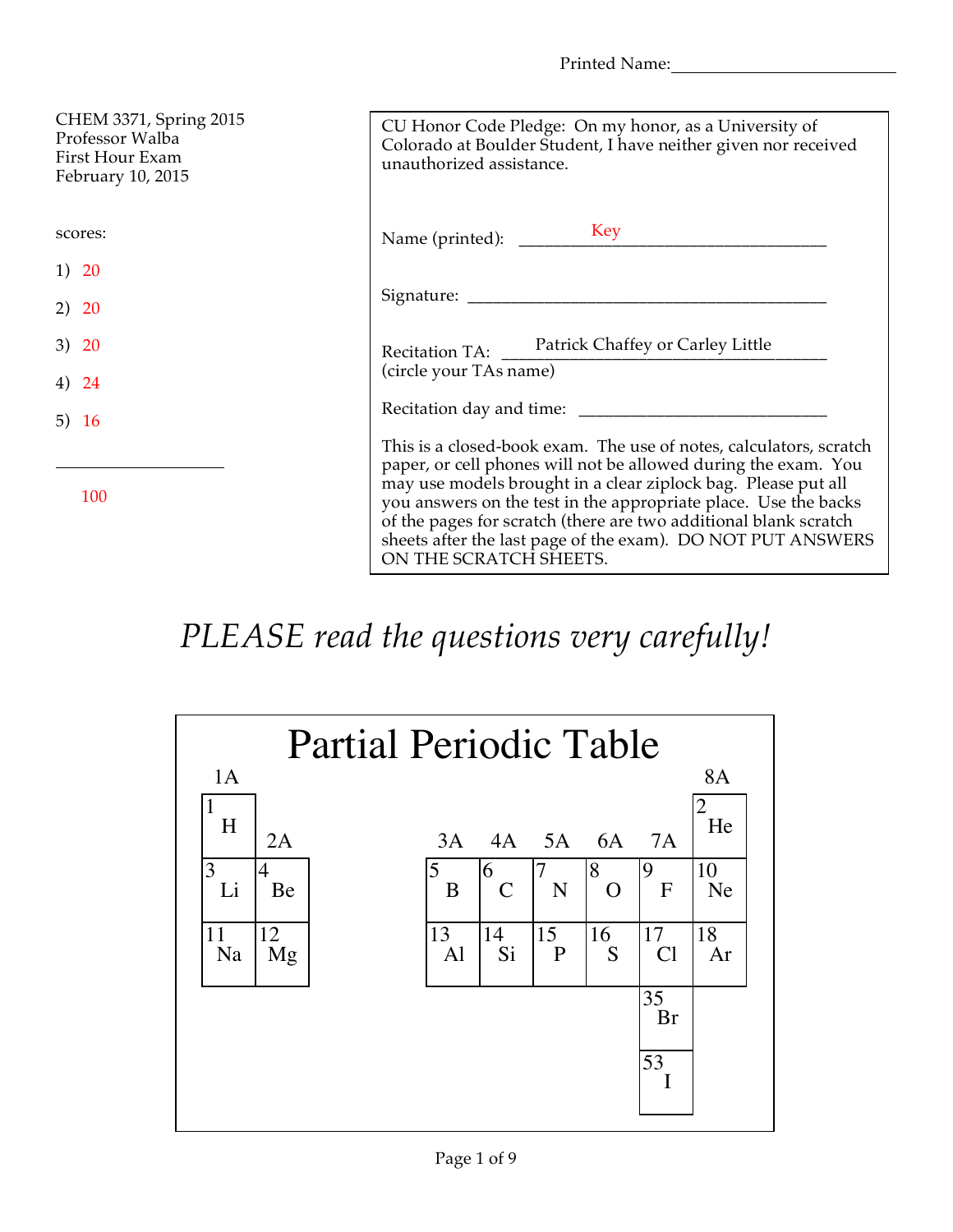Printed Name:

| CHEM 3371, Spring 2015<br>Professor Walba<br>First Hour Exam<br>February 10, 2015 | CU Honor Code Pledge: On my honor, as a University of<br>Colorado at Boulder Student, I have neither given nor received<br>unauthorized assistance.                                                                                                                                                                                                                                                                                   |
|-----------------------------------------------------------------------------------|---------------------------------------------------------------------------------------------------------------------------------------------------------------------------------------------------------------------------------------------------------------------------------------------------------------------------------------------------------------------------------------------------------------------------------------|
| scores:                                                                           | Key<br>Name (printed):                                                                                                                                                                                                                                                                                                                                                                                                                |
| 1) 20                                                                             |                                                                                                                                                                                                                                                                                                                                                                                                                                       |
| 2) 20                                                                             |                                                                                                                                                                                                                                                                                                                                                                                                                                       |
| 3) 20                                                                             | Recitation TA: Patrick Chaffey or Carley Little                                                                                                                                                                                                                                                                                                                                                                                       |
| 4) 24                                                                             | (circle your TAs name)                                                                                                                                                                                                                                                                                                                                                                                                                |
| 5) $16$                                                                           |                                                                                                                                                                                                                                                                                                                                                                                                                                       |
| 100                                                                               | This is a closed-book exam. The use of notes, calculators, scratch<br>paper, or cell phones will not be allowed during the exam. You<br>may use models brought in a clear ziplock bag. Please put all<br>you answers on the test in the appropriate place. Use the backs<br>of the pages for scratch (there are two additional blank scratch<br>sheets after the last page of the exam). DO NOT PUT ANSWERS<br>ON THE SCRATCH SHEETS. |

## *PLEASE read the questions very carefully!*

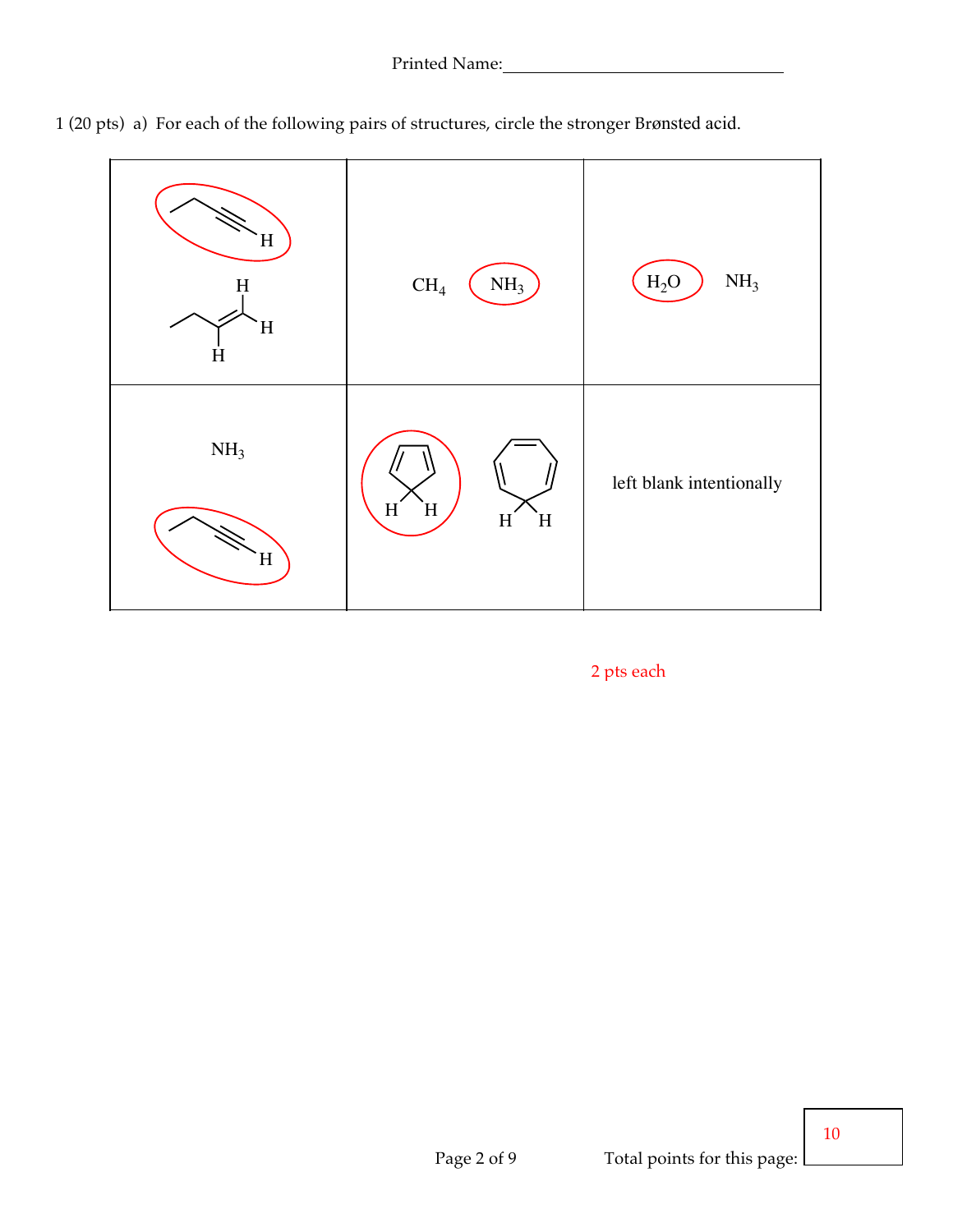

1 (20 pts) a) For each of the following pairs of structures, circle the stronger Brønsted acid.

2 pts each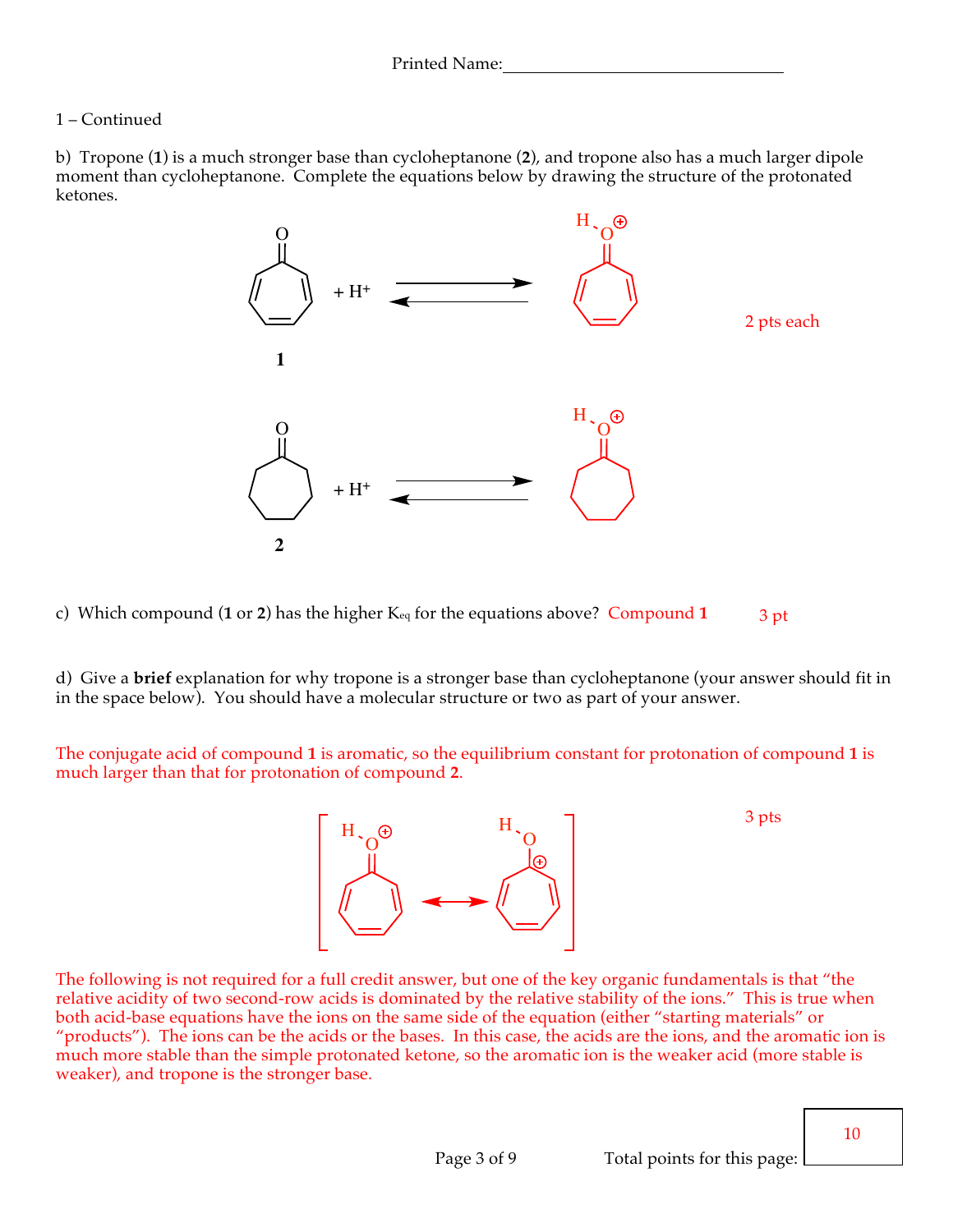## 1 – Continued

b) Tropone (**1**) is a much stronger base than cycloheptanone (**2**), and tropone also has a much larger dipole moment than cycloheptanone. Complete the equations below by drawing the structure of the protonated ketones.



c) Which compound (**1** or **2**) has the higher Keq for the equations above? Compound **1** 3 pt

d) Give a **brief** explanation for why tropone is a stronger base than cycloheptanone (your answer should fit in in the space below). You should have a molecular structure or two as part of your answer.

The conjugate acid of compound **1** is aromatic, so the equilibrium constant for protonation of compound **1** is much larger than that for protonation of compound **2**.



3 pts

The following is not required for a full credit answer, but one of the key organic fundamentals is that "the relative acidity of two second-row acids is dominated by the relative stability of the ions." This is true when both acid-base equations have the ions on the same side of the equation (either "starting materials" or "products"). The ions can be the acids or the bases. In this case, the acids are the ions, and the aromatic ion is much more stable than the simple protonated ketone, so the aromatic ion is the weaker acid (more stable is weaker), and tropone is the stronger base.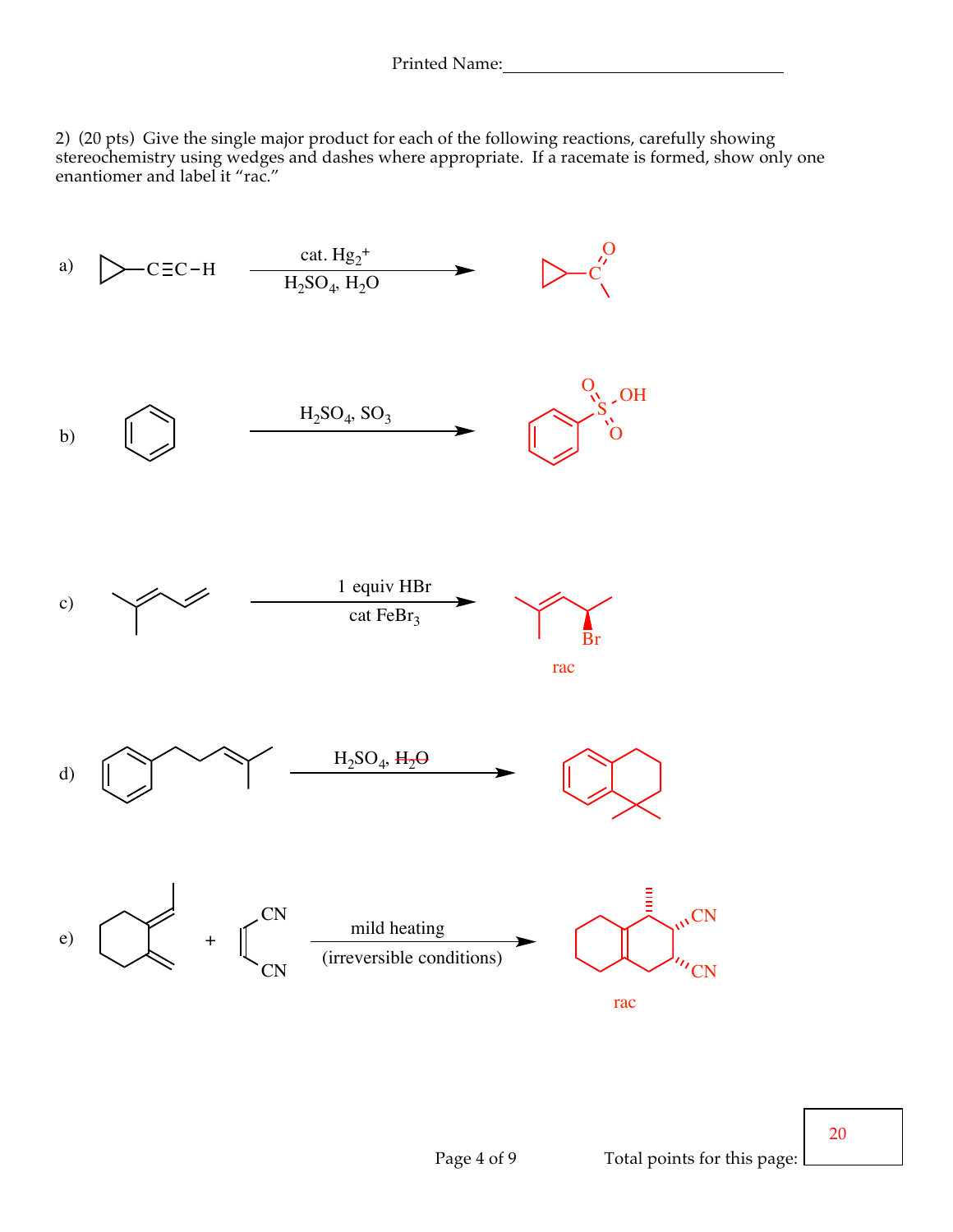2) (20 pts) Give the single major product for each of the following reactions, carefully showing stereochemistry using wedges and dashes where appropriate. If a racemate is formed, show only one enantiomer and label it "rac."



20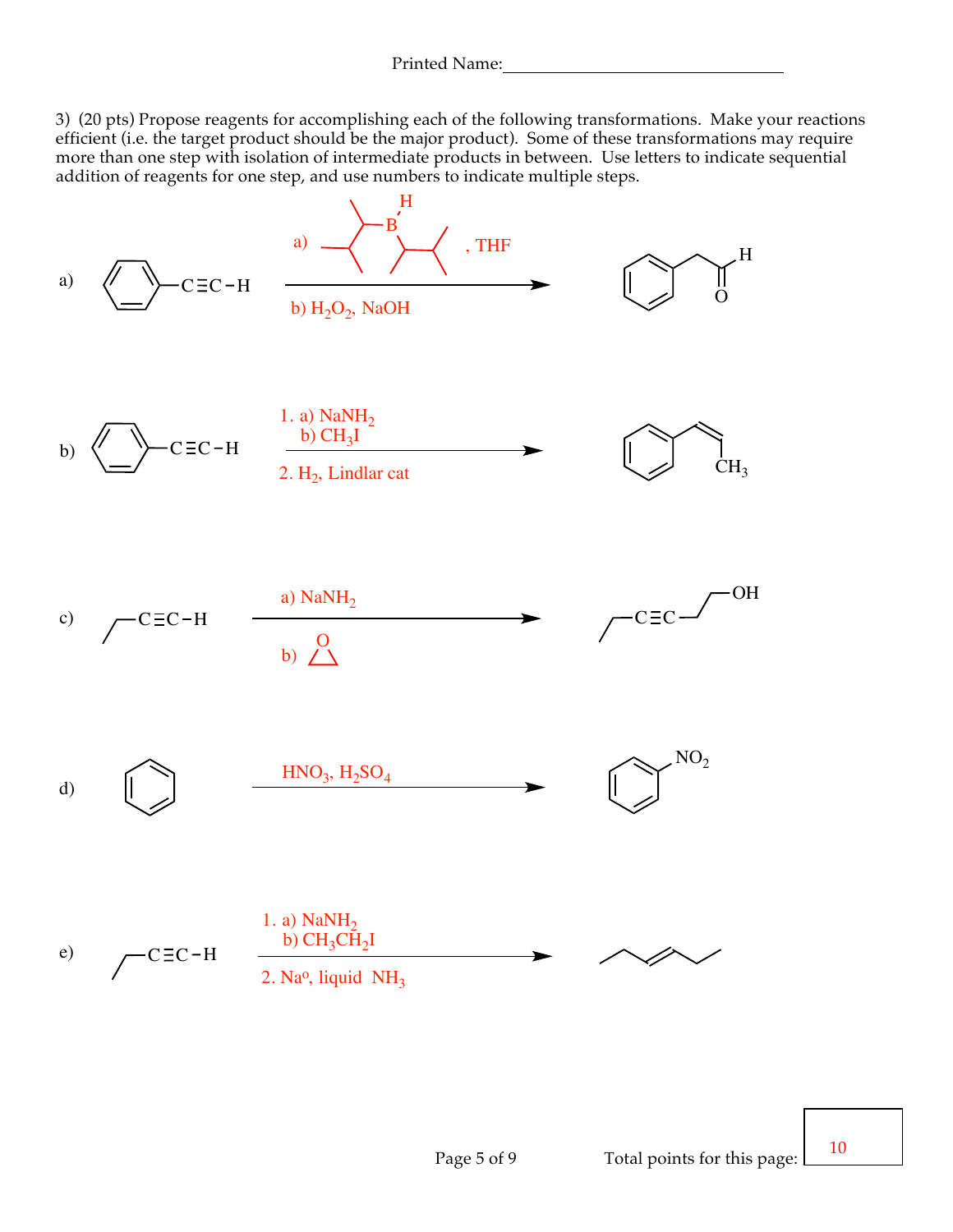3) (20 pts) Propose reagents for accomplishing each of the following transformations. Make your reactions efficient (i.e. the target product should be the major product). Some of these transformations may require more than one step with isolation of intermediate products in between. Use letters to indicate sequential addition of reagents for one step, and use numbers to indicate multiple steps.



10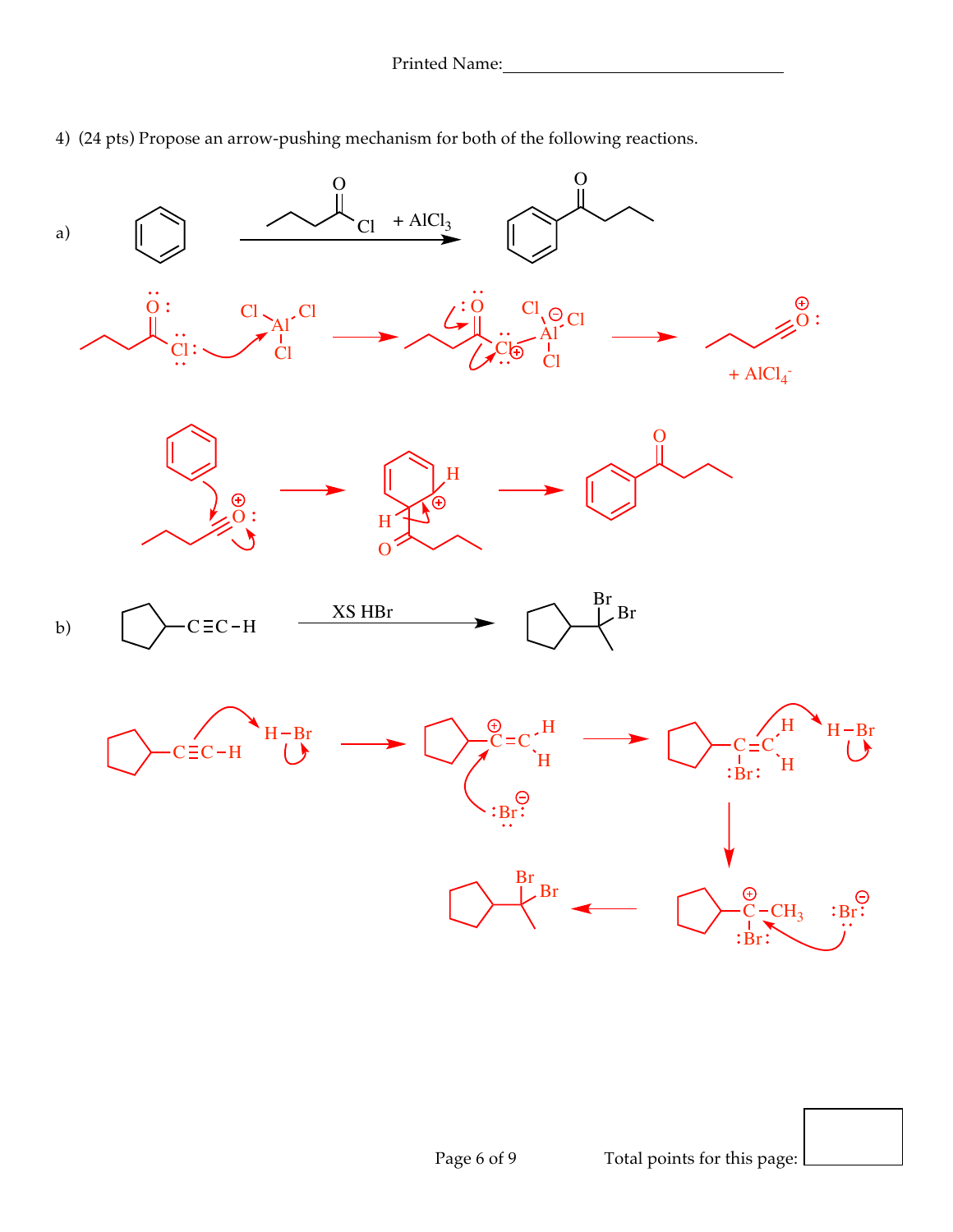

4) (24 pts) Propose an arrow-pushing mechanism for both of the following reactions.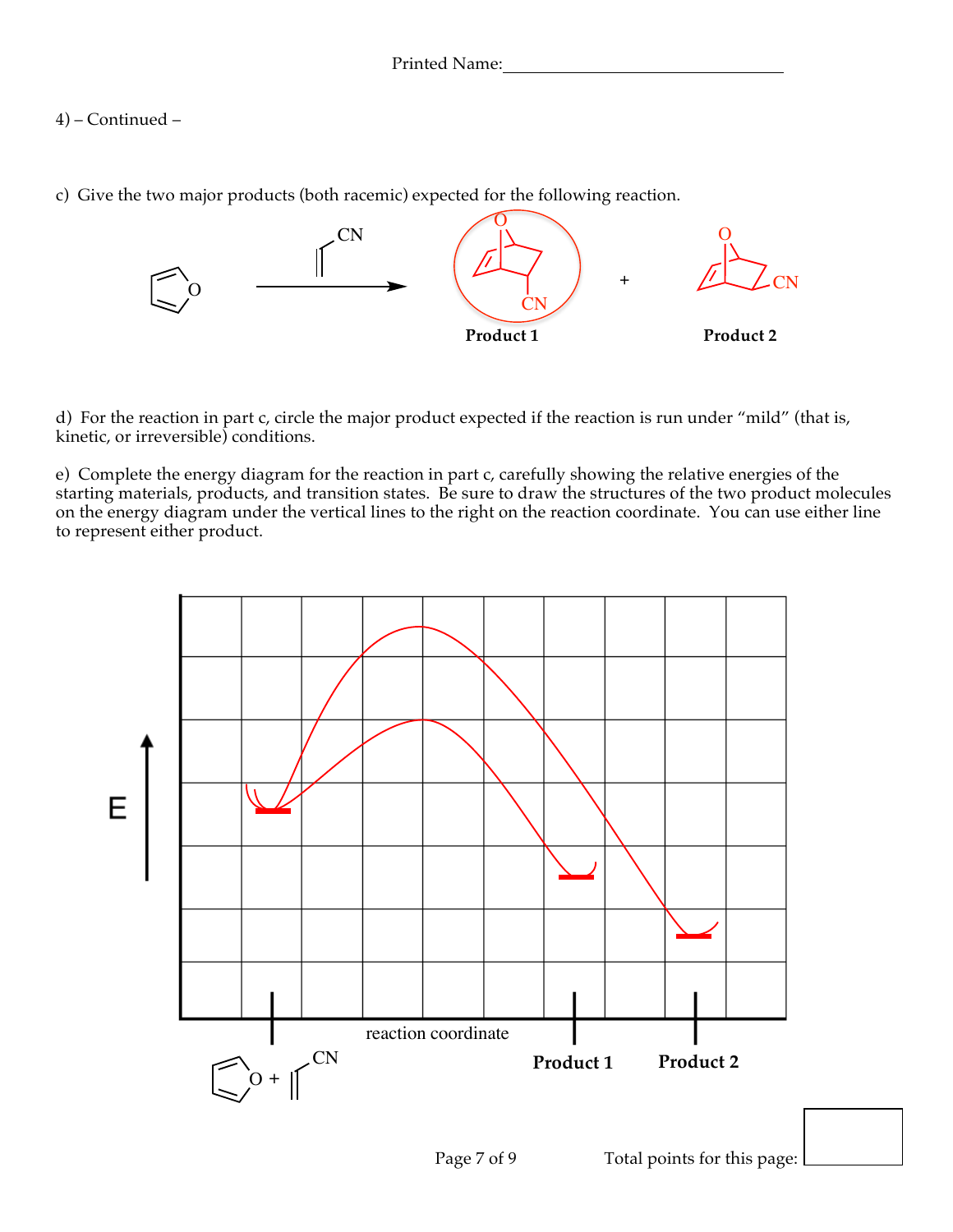4) – Continued –

c) Give the two major products (both racemic) expected for the following reaction.



d) For the reaction in part c, circle the major product expected if the reaction is run under "mild" (that is, kinetic, or irreversible) conditions.

e) Complete the energy diagram for the reaction in part c, carefully showing the relative energies of the starting materials, products, and transition states. Be sure to draw the structures of the two product molecules on the energy diagram under the vertical lines to the right on the reaction coordinate. You can use either line to represent either product.

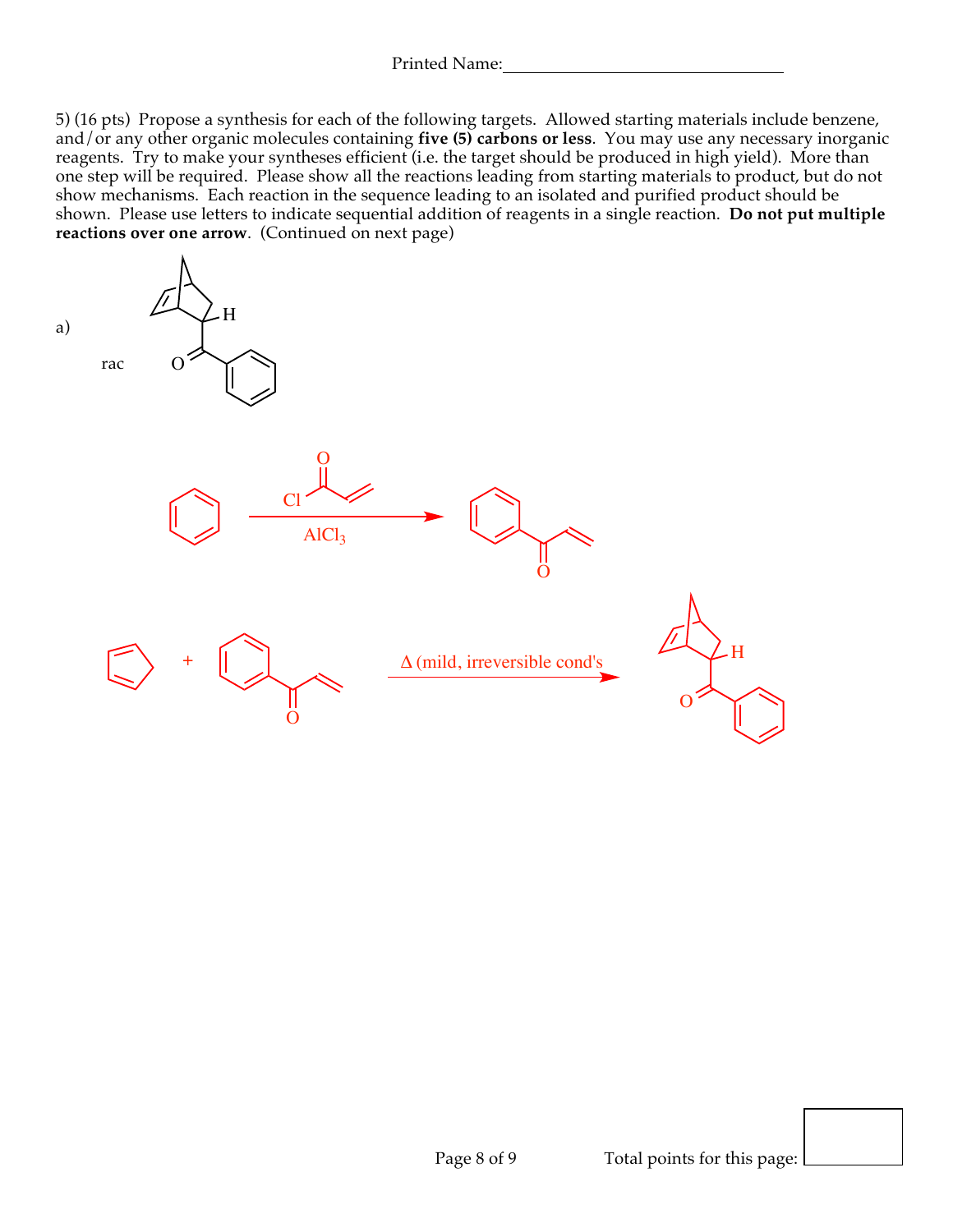5) (16 pts) Propose a synthesis for each of the following targets. Allowed starting materials include benzene, and/or any other organic molecules containing **five (5) carbons or less**. You may use any necessary inorganic reagents. Try to make your syntheses efficient (i.e. the target should be produced in high yield). More than one step will be required. Please show all the reactions leading from starting materials to product, but do not show mechanisms. Each reaction in the sequence leading to an isolated and purified product should be shown. Please use letters to indicate sequential addition of reagents in a single reaction. **Do not put multiple reactions over one arrow**. (Continued on next page)